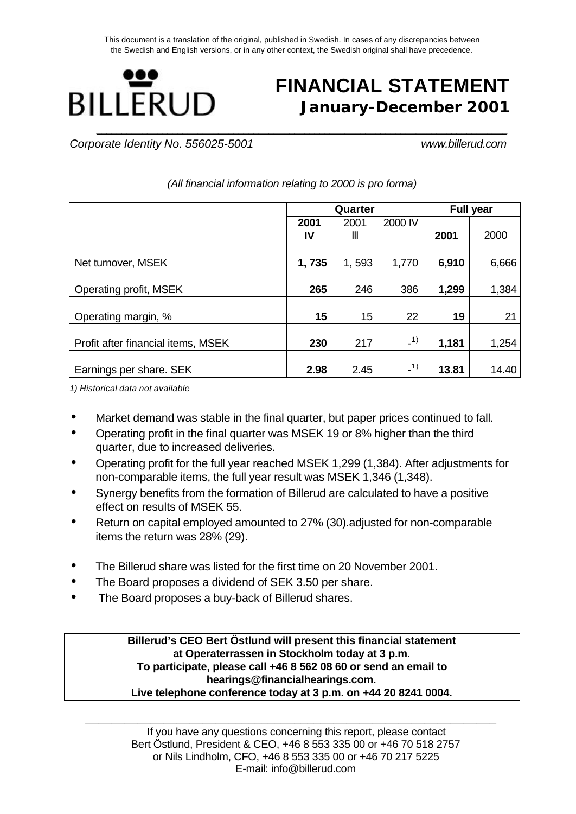This document is a translation of the original, published in Swedish. In cases of any discrepancies between the Swedish and English versions, or in any other context, the Swedish original shall have precedence.



# **FINANCIAL STATEMENT January-December 2001**

*Corporate Identity No. 556025-5001 www.billerud.com*

|                                    |       | Quarter |         | <b>Full year</b> |       |  |  |
|------------------------------------|-------|---------|---------|------------------|-------|--|--|
|                                    | 2001  | 2001    | 2000 IV |                  |       |  |  |
|                                    | IV    | Ш       |         | 2001             | 2000  |  |  |
|                                    |       |         |         |                  |       |  |  |
| Net turnover, MSEK                 | 1,735 | 1,593   | 1,770   | 6,910            | 6,666 |  |  |
|                                    |       |         |         |                  |       |  |  |
| Operating profit, MSEK             | 265   | 246     | 386     | 1,299            | 1,384 |  |  |
| Operating margin, %                | 15    | 15      | 22      | 19               | 21    |  |  |
| Profit after financial items, MSEK | 230   | 217     | $-1)$   | 1,181            | 1,254 |  |  |
| Earnings per share. SEK            | 2.98  | 2.45    | $-1)$   | 13.81            | 14.40 |  |  |

*(All financial information relating to 2000 is pro forma)*

*1) Historical data not available*

- Market demand was stable in the final quarter, but paper prices continued to fall.
- Operating profit in the final quarter was MSEK 19 or 8% higher than the third quarter, due to increased deliveries.
- Operating profit for the full year reached MSEK 1,299 (1,384). After adjustments for non-comparable items, the full year result was MSEK 1,346 (1,348).
- Synergy benefits from the formation of Billerud are calculated to have a positive effect on results of MSEK 55.
- Return on capital employed amounted to 27% (30).adjusted for non-comparable items the return was 28% (29).
- The Billerud share was listed for the first time on 20 November 2001.
- The Board proposes a dividend of SEK 3.50 per share.
- The Board proposes a buy-back of Billerud shares.

**Billerud's CEO Bert Östlund will present this financial statement at Operaterrassen in Stockholm today at 3 p.m. To participate, please call +46 8 562 08 60 or send an email to hearings@financialhearings.com. Live telephone conference today at 3 p.m. on +44 20 8241 0004.**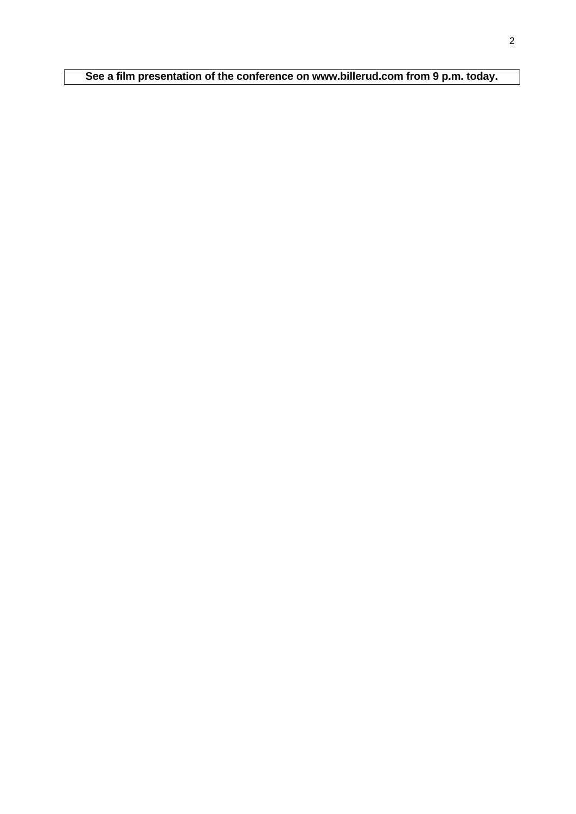**See a film presentation of the conference on www.billerud.com from 9 p.m. today.**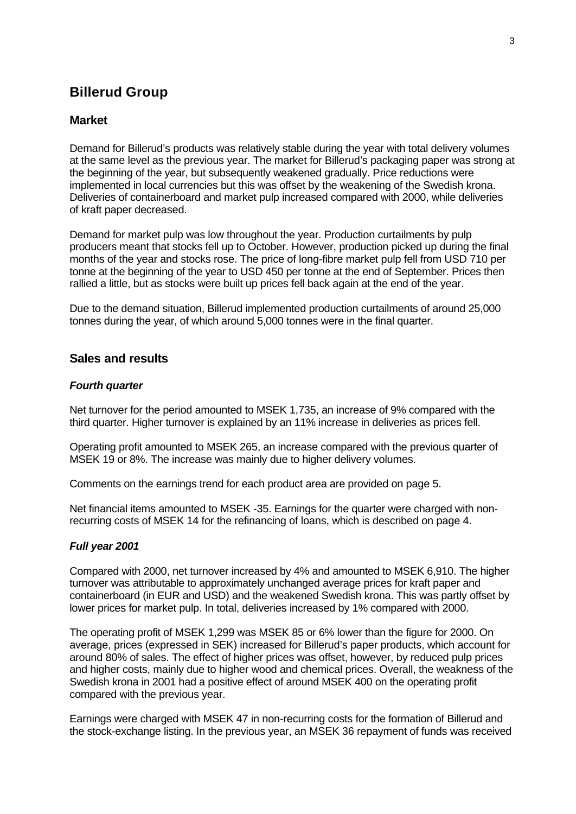## **Billerud Group**

## **Market**

Demand for Billerud's products was relatively stable during the year with total delivery volumes at the same level as the previous year. The market for Billerud's packaging paper was strong at the beginning of the year, but subsequently weakened gradually. Price reductions were implemented in local currencies but this was offset by the weakening of the Swedish krona. Deliveries of containerboard and market pulp increased compared with 2000, while deliveries of kraft paper decreased.

Demand for market pulp was low throughout the year. Production curtailments by pulp producers meant that stocks fell up to October. However, production picked up during the final months of the year and stocks rose. The price of long-fibre market pulp fell from USD 710 per tonne at the beginning of the year to USD 450 per tonne at the end of September. Prices then rallied a little, but as stocks were built up prices fell back again at the end of the year.

Due to the demand situation, Billerud implemented production curtailments of around 25,000 tonnes during the year, of which around 5,000 tonnes were in the final quarter.

## **Sales and results**

#### *Fourth quarter*

Net turnover for the period amounted to MSEK 1,735, an increase of 9% compared with the third quarter. Higher turnover is explained by an 11% increase in deliveries as prices fell.

Operating profit amounted to MSEK 265, an increase compared with the previous quarter of MSEK 19 or 8%. The increase was mainly due to higher delivery volumes.

Comments on the earnings trend for each product area are provided on page 5.

Net financial items amounted to MSEK -35. Earnings for the quarter were charged with nonrecurring costs of MSEK 14 for the refinancing of loans, which is described on page 4.

### *Full year 2001*

Compared with 2000, net turnover increased by 4% and amounted to MSEK 6,910. The higher turnover was attributable to approximately unchanged average prices for kraft paper and containerboard (in EUR and USD) and the weakened Swedish krona. This was partly offset by lower prices for market pulp. In total, deliveries increased by 1% compared with 2000.

The operating profit of MSEK 1,299 was MSEK 85 or 6% lower than the figure for 2000. On average, prices (expressed in SEK) increased for Billerud's paper products, which account for around 80% of sales. The effect of higher prices was offset, however, by reduced pulp prices and higher costs, mainly due to higher wood and chemical prices. Overall, the weakness of the Swedish krona in 2001 had a positive effect of around MSEK 400 on the operating profit compared with the previous year.

Earnings were charged with MSEK 47 in non-recurring costs for the formation of Billerud and the stock-exchange listing. In the previous year, an MSEK 36 repayment of funds was received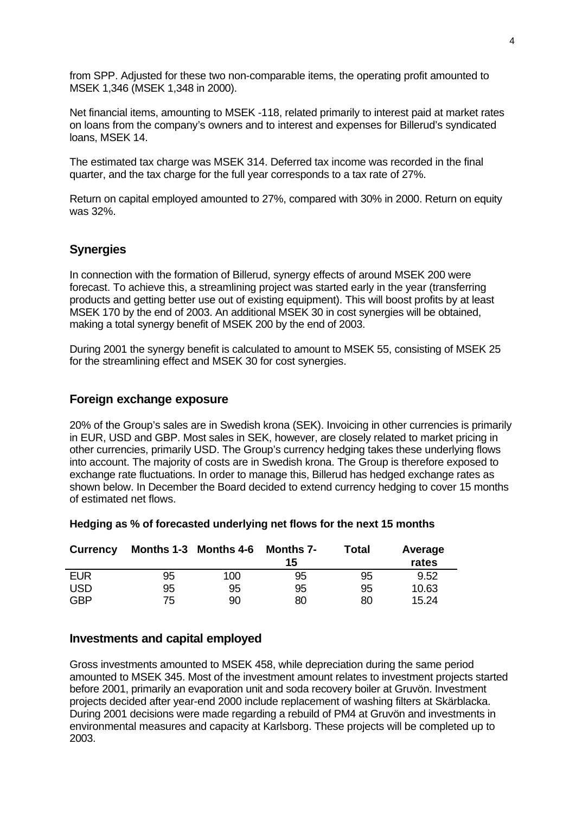from SPP. Adjusted for these two non-comparable items, the operating profit amounted to MSEK 1,346 (MSEK 1,348 in 2000).

Net financial items, amounting to MSEK -118, related primarily to interest paid at market rates on loans from the company's owners and to interest and expenses for Billerud's syndicated loans, MSEK 14.

The estimated tax charge was MSEK 314. Deferred tax income was recorded in the final quarter, and the tax charge for the full year corresponds to a tax rate of 27%.

Return on capital employed amounted to 27%, compared with 30% in 2000. Return on equity was 32%.

## **Synergies**

In connection with the formation of Billerud, synergy effects of around MSEK 200 were forecast. To achieve this, a streamlining project was started early in the year (transferring products and getting better use out of existing equipment). This will boost profits by at least MSEK 170 by the end of 2003. An additional MSEK 30 in cost synergies will be obtained, making a total synergy benefit of MSEK 200 by the end of 2003.

During 2001 the synergy benefit is calculated to amount to MSEK 55, consisting of MSEK 25 for the streamlining effect and MSEK 30 for cost synergies.

## **Foreign exchange exposure**

20% of the Group's sales are in Swedish krona (SEK). Invoicing in other currencies is primarily in EUR, USD and GBP. Most sales in SEK, however, are closely related to market pricing in other currencies, primarily USD. The Group's currency hedging takes these underlying flows into account. The majority of costs are in Swedish krona. The Group is therefore exposed to exchange rate fluctuations. In order to manage this, Billerud has hedged exchange rates as shown below. In December the Board decided to extend currency hedging to cover 15 months of estimated net flows.

| <b>Currency</b> |    |     | Months 1-3 Months 4-6 Months 7-<br>Total<br>15 |    | Average<br>rates |
|-----------------|----|-----|------------------------------------------------|----|------------------|
| <b>EUR</b>      | 95 | 100 | 95                                             | 95 | 9.52             |
| <b>USD</b>      | 95 | 95  | 95                                             | 95 | 10.63            |
| <b>GBP</b>      | 75 | 90  | 80                                             | 80 | 15.24            |

#### **Hedging as % of forecasted underlying net flows for the next 15 months**

### **Investments and capital employed**

Gross investments amounted to MSEK 458, while depreciation during the same period amounted to MSEK 345. Most of the investment amount relates to investment projects started before 2001, primarily an evaporation unit and soda recovery boiler at Gruvön. Investment projects decided after year-end 2000 include replacement of washing filters at Skärblacka. During 2001 decisions were made regarding a rebuild of PM4 at Gruvön and investments in environmental measures and capacity at Karlsborg. These projects will be completed up to 2003.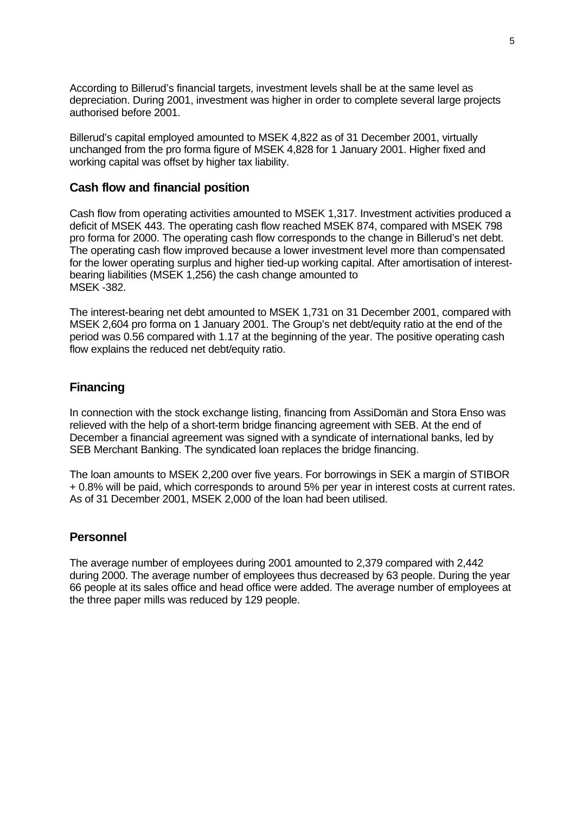According to Billerud's financial targets, investment levels shall be at the same level as depreciation. During 2001, investment was higher in order to complete several large projects authorised before 2001.

Billerud's capital employed amounted to MSEK 4,822 as of 31 December 2001, virtually unchanged from the pro forma figure of MSEK 4,828 for 1 January 2001. Higher fixed and working capital was offset by higher tax liability.

### **Cash flow and financial position**

Cash flow from operating activities amounted to MSEK 1,317. Investment activities produced a deficit of MSEK 443. The operating cash flow reached MSEK 874, compared with MSEK 798 pro forma for 2000. The operating cash flow corresponds to the change in Billerud's net debt. The operating cash flow improved because a lower investment level more than compensated for the lower operating surplus and higher tied-up working capital. After amortisation of interestbearing liabilities (MSEK 1,256) the cash change amounted to MSEK -382.

The interest-bearing net debt amounted to MSEK 1,731 on 31 December 2001, compared with MSEK 2,604 pro forma on 1 January 2001. The Group's net debt/equity ratio at the end of the period was 0.56 compared with 1.17 at the beginning of the year. The positive operating cash flow explains the reduced net debt/equity ratio.

### **Financing**

In connection with the stock exchange listing, financing from AssiDomän and Stora Enso was relieved with the help of a short-term bridge financing agreement with SEB. At the end of December a financial agreement was signed with a syndicate of international banks, led by SEB Merchant Banking. The syndicated loan replaces the bridge financing.

The loan amounts to MSEK 2,200 over five years. For borrowings in SEK a margin of STIBOR + 0.8% will be paid, which corresponds to around 5% per year in interest costs at current rates. As of 31 December 2001, MSEK 2,000 of the loan had been utilised.

### **Personnel**

The average number of employees during 2001 amounted to 2,379 compared with 2,442 during 2000. The average number of employees thus decreased by 63 people. During the year 66 people at its sales office and head office were added. The average number of employees at the three paper mills was reduced by 129 people.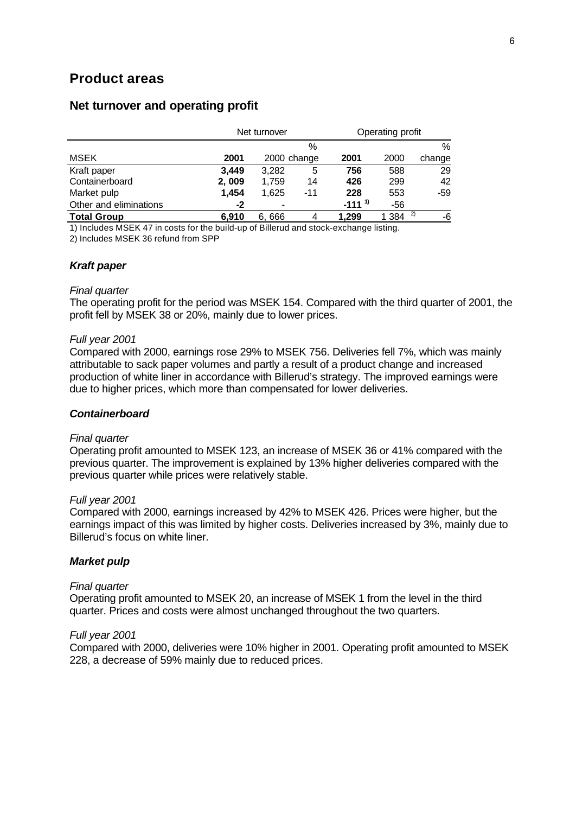## **Product areas**

|                        |       | Net turnover |     | Operating profit |           |        |  |
|------------------------|-------|--------------|-----|------------------|-----------|--------|--|
|                        |       |              | %   |                  |           | %      |  |
| MSEK                   | 2001  | 2000 change  |     | 2001             | 2000      | change |  |
| Kraft paper            | 3.449 | 3.282        | 5   | 756              | 588       | 29     |  |
| Containerboard         | 2,009 | 1,759        | 14  | 426              | 299       | 42     |  |
| Market pulp            | 1,454 | 1,625        | -11 | 228              | 553       | $-59$  |  |
| Other and eliminations | $-2$  |              |     | $-111^{1}$       | $-56$     |        |  |
| <b>Total Group</b>     | 6.910 | 6.666        | 4   | 1.299            | 2)<br>384 | -6     |  |

## **Net turnover and operating profit**

1) Includes MSEK 47 in costs for the build-up of Billerud and stock-exchange listing.

2) Includes MSEK 36 refund from SPP

#### *Kraft paper*

#### *Final quarter*

The operating profit for the period was MSEK 154. Compared with the third quarter of 2001, the profit fell by MSEK 38 or 20%, mainly due to lower prices.

#### *Full year 2001*

Compared with 2000, earnings rose 29% to MSEK 756. Deliveries fell 7%, which was mainly attributable to sack paper volumes and partly a result of a product change and increased production of white liner in accordance with Billerud's strategy. The improved earnings were due to higher prices, which more than compensated for lower deliveries.

#### *Containerboard*

#### *Final quarter*

Operating profit amounted to MSEK 123, an increase of MSEK 36 or 41% compared with the previous quarter. The improvement is explained by 13% higher deliveries compared with the previous quarter while prices were relatively stable.

#### *Full year 2001*

Compared with 2000, earnings increased by 42% to MSEK 426. Prices were higher, but the earnings impact of this was limited by higher costs. Deliveries increased by 3%, mainly due to Billerud's focus on white liner.

#### *Market pulp*

#### *Final quarter*

Operating profit amounted to MSEK 20, an increase of MSEK 1 from the level in the third quarter. Prices and costs were almost unchanged throughout the two quarters.

#### *Full year 2001*

Compared with 2000, deliveries were 10% higher in 2001. Operating profit amounted to MSEK 228, a decrease of 59% mainly due to reduced prices.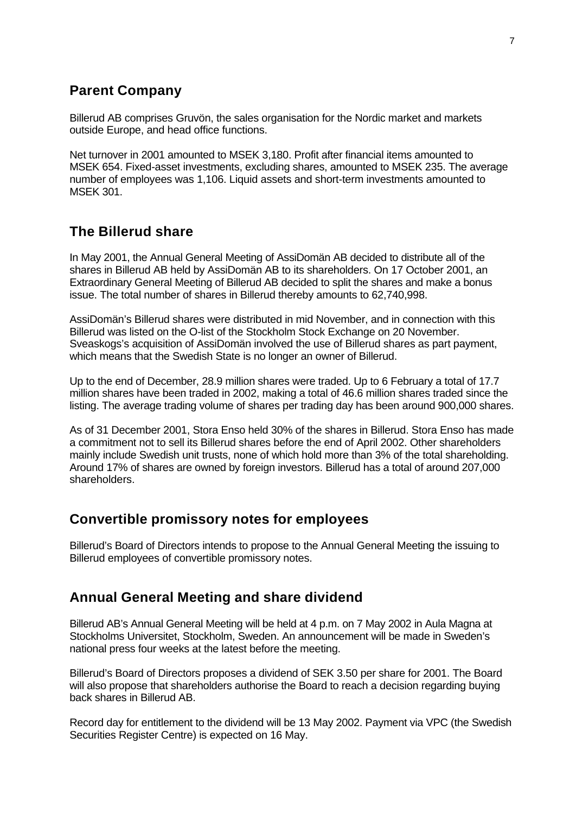## **Parent Company**

Billerud AB comprises Gruvön, the sales organisation for the Nordic market and markets outside Europe, and head office functions.

Net turnover in 2001 amounted to MSEK 3,180. Profit after financial items amounted to MSEK 654. Fixed-asset investments, excluding shares, amounted to MSEK 235. The average number of employees was 1,106. Liquid assets and short-term investments amounted to MSEK 301.

## **The Billerud share**

In May 2001, the Annual General Meeting of AssiDomän AB decided to distribute all of the shares in Billerud AB held by AssiDomän AB to its shareholders. On 17 October 2001, an Extraordinary General Meeting of Billerud AB decided to split the shares and make a bonus issue. The total number of shares in Billerud thereby amounts to 62,740,998.

AssiDomän's Billerud shares were distributed in mid November, and in connection with this Billerud was listed on the O-list of the Stockholm Stock Exchange on 20 November. Sveaskogs's acquisition of AssiDomän involved the use of Billerud shares as part payment, which means that the Swedish State is no longer an owner of Billerud.

Up to the end of December, 28.9 million shares were traded. Up to 6 February a total of 17.7 million shares have been traded in 2002, making a total of 46.6 million shares traded since the listing. The average trading volume of shares per trading day has been around 900,000 shares.

As of 31 December 2001, Stora Enso held 30% of the shares in Billerud. Stora Enso has made a commitment not to sell its Billerud shares before the end of April 2002. Other shareholders mainly include Swedish unit trusts, none of which hold more than 3% of the total shareholding. Around 17% of shares are owned by foreign investors. Billerud has a total of around 207,000 shareholders.

## **Convertible promissory notes for employees**

Billerud's Board of Directors intends to propose to the Annual General Meeting the issuing to Billerud employees of convertible promissory notes.

## **Annual General Meeting and share dividend**

Billerud AB's Annual General Meeting will be held at 4 p.m. on 7 May 2002 in Aula Magna at Stockholms Universitet, Stockholm, Sweden. An announcement will be made in Sweden's national press four weeks at the latest before the meeting.

Billerud's Board of Directors proposes a dividend of SEK 3.50 per share for 2001. The Board will also propose that shareholders authorise the Board to reach a decision regarding buying back shares in Billerud AB.

Record day for entitlement to the dividend will be 13 May 2002. Payment via VPC (the Swedish Securities Register Centre) is expected on 16 May.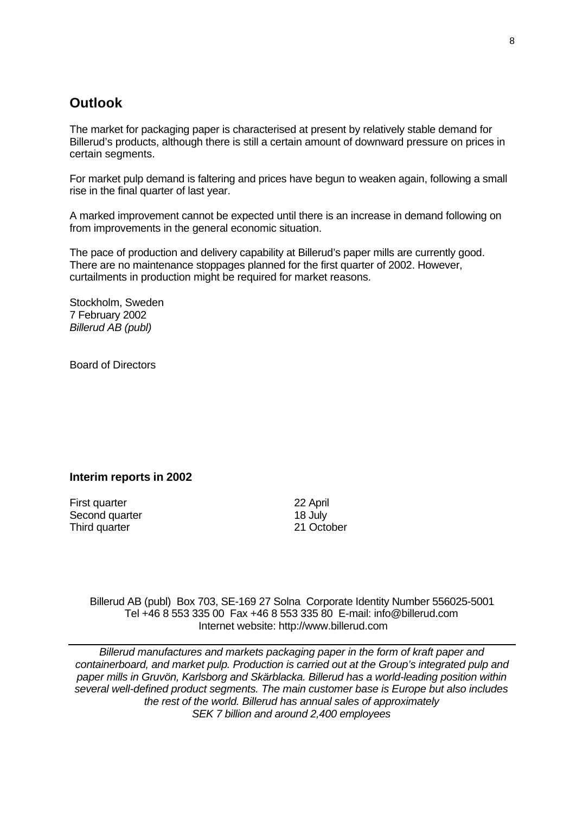## **Outlook**

The market for packaging paper is characterised at present by relatively stable demand for Billerud's products, although there is still a certain amount of downward pressure on prices in certain segments.

For market pulp demand is faltering and prices have begun to weaken again, following a small rise in the final quarter of last year.

A marked improvement cannot be expected until there is an increase in demand following on from improvements in the general economic situation.

The pace of production and delivery capability at Billerud's paper mills are currently good. There are no maintenance stoppages planned for the first quarter of 2002. However, curtailments in production might be required for market reasons.

Stockholm, Sweden 7 February 2002 *Billerud AB (publ)*

Board of Directors

### **Interim reports in 2002**

First quarter 22 April Second quarter 18 July<br>
Third quarter 18 July 21 October Third quarter

Billerud AB (publ) Box 703, SE-169 27 Solna Corporate Identity Number 556025-5001 Tel +46 8 553 335 00 Fax +46 8 553 335 80 E-mail: info@billerud.com Internet website: http://www.billerud.com

*Billerud manufactures and markets packaging paper in the form of kraft paper and containerboard, and market pulp. Production is carried out at the Group's integrated pulp and paper mills in Gruvön, Karlsborg and Skärblacka. Billerud has a world-leading position within several well-defined product segments. The main customer base is Europe but also includes the rest of the world. Billerud has annual sales of approximately SEK 7 billion and around 2,400 employees*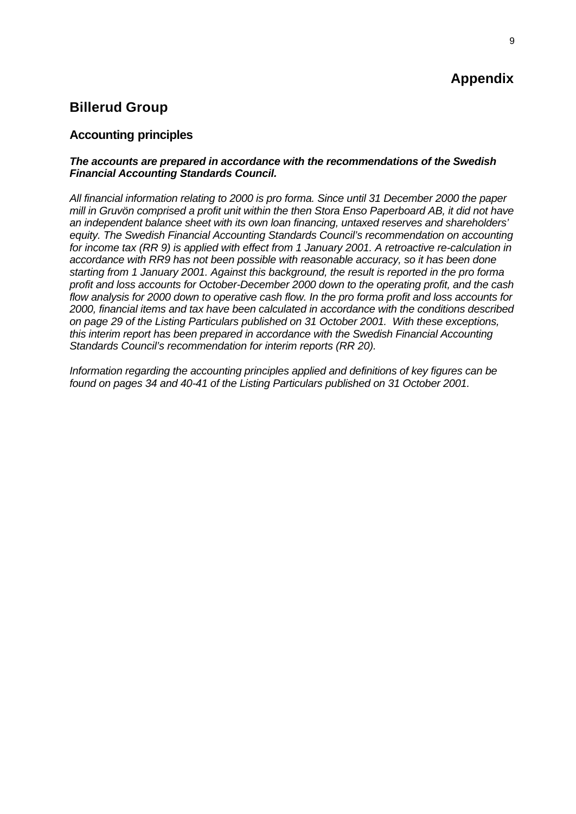## **Appendix**

## **Billerud Group**

## **Accounting principles**

### *The accounts are prepared in accordance with the recommendations of the Swedish Financial Accounting Standards Council.*

*All financial information relating to 2000 is pro forma. Since until 31 December 2000 the paper mill in Gruvön comprised a profit unit within the then Stora Enso Paperboard AB, it did not have an independent balance sheet with its own loan financing, untaxed reserves and shareholders' equity. The Swedish Financial Accounting Standards Council's recommendation on accounting for income tax (RR 9) is applied with effect from 1 January 2001. A retroactive re-calculation in accordance with RR9 has not been possible with reasonable accuracy, so it has been done starting from 1 January 2001. Against this background, the result is reported in the pro forma profit and loss accounts for October-December 2000 down to the operating profit, and the cash flow analysis for 2000 down to operative cash flow. In the pro forma profit and loss accounts for 2000, financial items and tax have been calculated in accordance with the conditions described on page 29 of the Listing Particulars published on 31 October 2001. With these exceptions, this interim report has been prepared in accordance with the Swedish Financial Accounting Standards Council's recommendation for interim reports (RR 20).*

*Information regarding the accounting principles applied and definitions of key figures can be found on pages 34 and 40-41 of the Listing Particulars published on 31 October 2001.*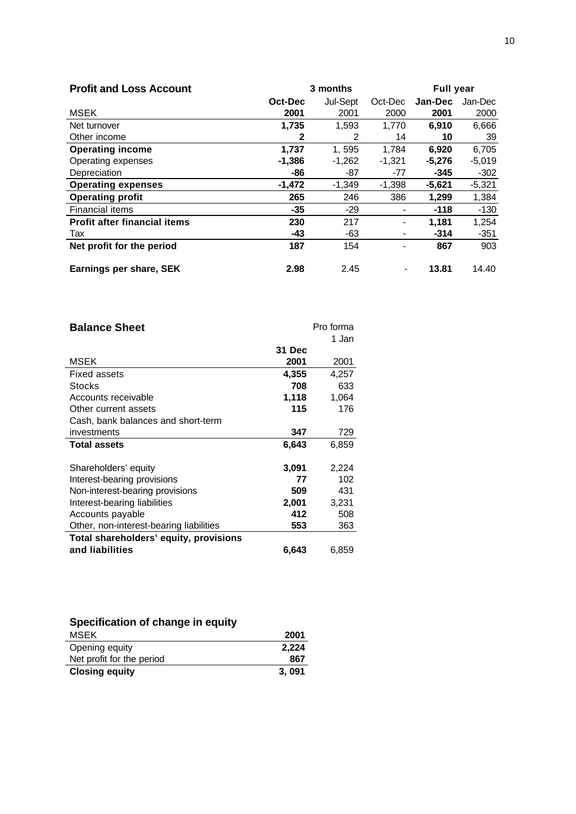| <b>Profit and Loss Account</b>      |          | 3 months |                          | <b>Full year</b> |          |  |  |
|-------------------------------------|----------|----------|--------------------------|------------------|----------|--|--|
|                                     | Oct-Dec  | Jul-Sept | Oct-Dec                  | Jan-Dec          | Jan-Dec  |  |  |
| <b>MSEK</b>                         | 2001     | 2001     | 2000                     | 2001             | 2000     |  |  |
| Net turnover                        | 1,735    | 1,593    | 1,770                    | 6,910            | 6,666    |  |  |
| Other income                        | 2        | 2        | 14                       | 10               | 39       |  |  |
| <b>Operating income</b>             | 1,737    | 1,595    | 1.784                    | 6,920            | 6,705    |  |  |
| Operating expenses                  | $-1,386$ | $-1,262$ | $-1,321$                 | $-5,276$         | $-5,019$ |  |  |
| Depreciation                        | -86      | -87      | -77                      | $-345$           | $-302$   |  |  |
| <b>Operating expenses</b>           | $-1,472$ | $-1,349$ | $-1,398$                 | $-5,621$         | $-5,321$ |  |  |
| <b>Operating profit</b>             | 265      | 246      | 386                      | 1,299            | 1,384    |  |  |
| <b>Financial items</b>              | $-35$    | $-29$    | ٠                        | $-118$           | -130     |  |  |
| <b>Profit after financial items</b> | 230      | 217      | $\overline{\phantom{a}}$ | 1,181            | 1,254    |  |  |
| Tax                                 | $-43$    | -63      | $\overline{\phantom{a}}$ | $-314$           | $-351$   |  |  |
| Net profit for the period           | 187      | 154      | -                        | 867              | 903      |  |  |
| Earnings per share, SEK             | 2.98     | 2.45     |                          | 13.81            | 14.40    |  |  |

| <b>Balance Sheet</b>                    |        | Pro forma |
|-----------------------------------------|--------|-----------|
|                                         |        | 1 Jan     |
|                                         | 31 Dec |           |
| MSEK                                    | 2001   | 2001      |
| Fixed assets                            | 4,355  | 4,257     |
| Stocks                                  | 708    | 633       |
| Accounts receivable                     | 1,118  | 1,064     |
| Other current assets                    | 115    | 176       |
| Cash, bank balances and short-term      |        |           |
| investments                             | 347    | 729       |
| <b>Total assets</b>                     | 6,643  | 6,859     |
|                                         |        |           |
| Shareholders' equity                    | 3,091  | 2,224     |
| Interest-bearing provisions             | 77     | 102       |
| Non-interest-bearing provisions         | 509    | 431       |
| Interest-bearing liabilities            | 2,001  | 3,231     |
| Accounts payable                        | 412    | 508       |
| Other, non-interest-bearing liabilities | 553    | 363       |
| Total shareholders' equity, provisions  |        |           |
| and liabilities                         | 6,643  | 6,859     |

## **Specification of change in equity**

| MSEK                      | 2001  |
|---------------------------|-------|
| Opening equity            | 2,224 |
| Net profit for the period | 867   |
| <b>Closing equity</b>     | 3,091 |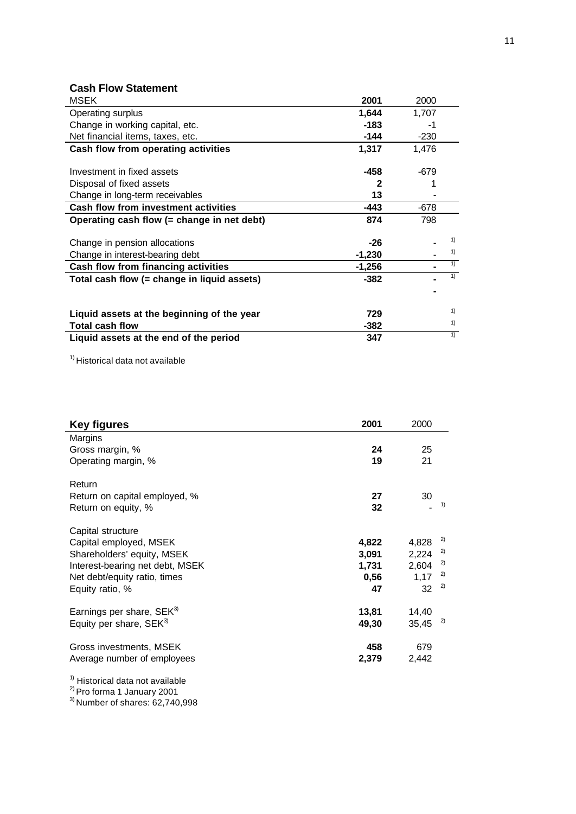## **Cash Flow Statement**

| <b>MSEK</b>                                 | 2001     | 2000   |    |
|---------------------------------------------|----------|--------|----|
| Operating surplus                           | 1,644    | 1,707  |    |
| Change in working capital, etc.             | $-183$   | -1     |    |
| Net financial items, taxes, etc.            | -144     | $-230$ |    |
| Cash flow from operating activities         | 1,317    | 1,476  |    |
|                                             |          |        |    |
| Investment in fixed assets                  | -458     | $-679$ |    |
| Disposal of fixed assets                    | 2        |        |    |
| Change in long-term receivables             | 13       |        |    |
| <b>Cash flow from investment activities</b> | -443     | $-678$ |    |
| Operating cash flow (= change in net debt)  | 874      | 798    |    |
|                                             |          |        | 1) |
| Change in pension allocations               | $-26$    |        | 1) |
| Change in interest-bearing debt             | $-1,230$ |        |    |
| Cash flow from financing activities         | $-1,256$ |        | 1) |
| Total cash flow (= change in liquid assets) | $-382$   |        | 1) |
|                                             |          |        |    |
| Liquid assets at the beginning of the year  | 729      |        | 1) |
| <b>Total cash flow</b>                      | $-382$   |        | 1) |
| Liquid assets at the end of the period      | 347      |        | 1) |

<sup>1)</sup> Historical data not available

| 2001                                  | 2000                                                                |
|---------------------------------------|---------------------------------------------------------------------|
| 24<br>19                              | 25<br>21                                                            |
| 27<br>32                              | 30<br>1)                                                            |
| 4,822<br>3,091<br>1,731<br>0,56<br>47 | 2)<br>4,828<br>2)<br>2,224<br>2)<br>2,604<br>2)<br>1,17<br>2)<br>32 |
| 13,81<br>49,30                        | 14,40<br>2)<br>35,45                                                |
| 458<br>2,379                          | 679<br>2,442                                                        |
|                                       |                                                                     |

<sup>1)</sup> Historical data not available

<sup>2)</sup> Pro forma 1 January 2001

 $^{3)}$ Number of shares: 62,740,998